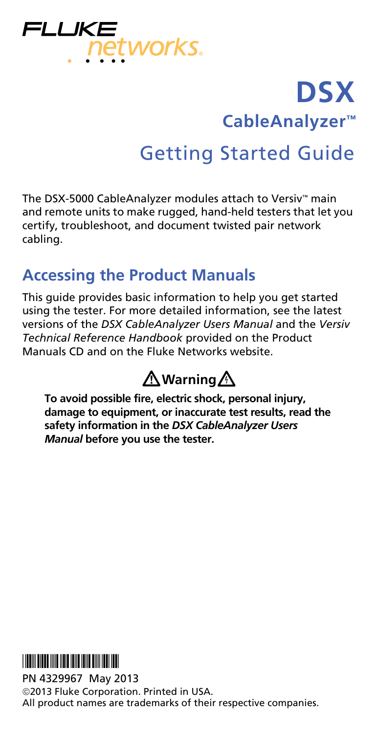

# **DSX CableAnalyzer™** Getting Started Guide

The DSX-5000 CableAnalyzer modules attach to Versiv™ main and remote units to make rugged, hand-held testers that let you certify, troubleshoot, and document twisted pair network cabling.

### **Accessing the Product Manuals**

This guide provides basic information to help you get started using the tester. For more detailed information, see the latest versions of the *DSX CableAnalyzer Users Manual* and the *Versiv Technical Reference Handbook* provided on the Product Manuals CD and on the Fluke Networks website.

# **Warning**

**To avoid possible fire, electric shock, personal injury, damage to equipment, or inaccurate test results, read the safety information in the** *DSX CableAnalyzer Users Manual* **before you use the tester.**



PN 4329967 May 2013

2013 Fluke Corporation. Printed in USA. All product names are trademarks of their respective companies.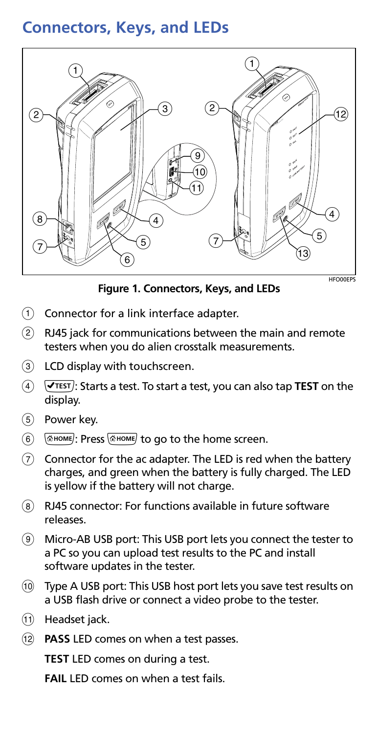### **Connectors, Keys, and LEDs**



**Figure 1. Connectors, Keys, and LEDs**

HFO00EPS

- $\overline{1}$  Connector for a link interface adapter.
- $(2)$  RJ45 jack for communications between the main and remote testers when you do alien crosstalk measurements.
- LCD display with touchscreen.
- $\overline{4}$   $\overline{V}$ <sup>TEST</sup>): Starts a test. To start a test, you can also tap **TEST** on the display.
- (5) Power key.
- : Press to go to the home screen.
- $\overline{C}$  Connector for the ac adapter. The LED is red when the battery charges, and green when the battery is fully charged. The LED is yellow if the battery will not charge.
- RJ45 connector: For functions available in future software releases.
- Micro-AB USB port: This USB port lets you connect the tester to a PC so you can upload test results to the PC and install software updates in the tester.
- Type A USB port: This USB host port lets you save test results on a USB flash drive or connect a video probe to the tester.
- Headset jack.
- **PASS** LED comes on when a test passes.

**TEST** LED comes on during a test.

**FAIL** LED comes on when a test fails.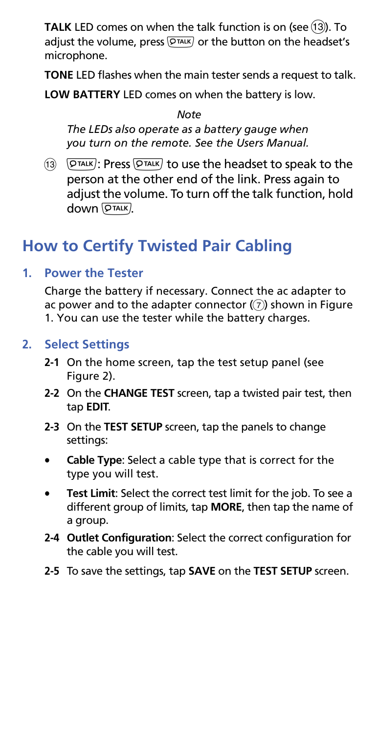**TALK** LED comes on when the talk function is on (see (13)). To adjust the volume, press  $\overline{Q_{\text{TALK}}}$  or the button on the headset's microphone.

**TONE** LED flashes when the main tester sends a request to talk.

**LOW BATTERY** LED comes on when the battery is low.

*Note*

*The LEDs also operate as a battery gauge when you turn on the remote. See the Users Manual.*

 $(13)$   $(9 \overline{\text{max}})$ : Press  $(9 \overline{\text{max}})$  to use the headset to speak to the person at the other end of the link. Press again to adjust the volume. To turn off the talk function, hold down  $\sqrt{P^{\text{TALK}}}.$ 

### **How to Certify Twisted Pair Cabling**

#### **1. Power the Tester**

Charge the battery if necessary. Connect the ac adapter to ac power and to the adapter connector  $(\overline{z})$  shown in Figure 1. You can use the tester while the battery charges.

#### **2. Select Settings**

- **2-1** On the home screen, tap the test setup panel (see Figure [2](#page-3-0)).
- **2-2** On the **CHANGE TEST** screen, tap a twisted pair test, then tap **EDIT**.
- **2-3** On the **TEST SETUP** screen, tap the panels to change settings:
- **Cable Type**: Select a cable type that is correct for the type you will test.
- **Test Limit**: Select the correct test limit for the job. To see a different group of limits, tap **MORE**, then tap the name of a group.
- **2-4 Outlet Configuration**: Select the correct configuration for the cable you will test.
- **2-5** To save the settings, tap **SAVE** on the **TEST SETUP** screen.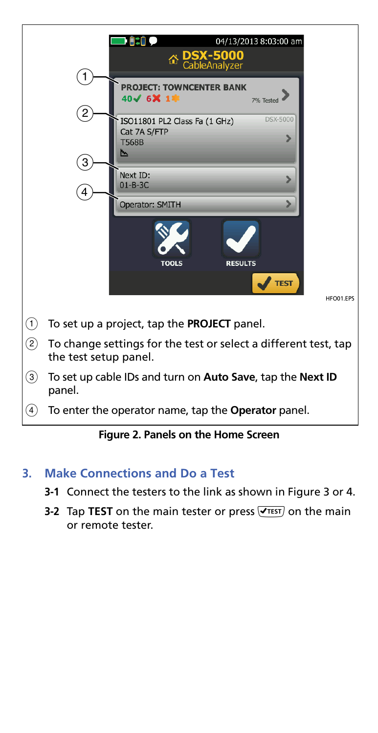

#### **Figure 2. Panels on the Home Screen**

#### <span id="page-3-0"></span>**3. Make Connections and Do a Test**

- **3-1** Connect the testers to the link as shown in Figure [3](#page-4-0) or [4.](#page-4-1)
- **3-2** Tap TEST on the main tester or press  $\sqrt{1 + x}$  on the main or remote tester.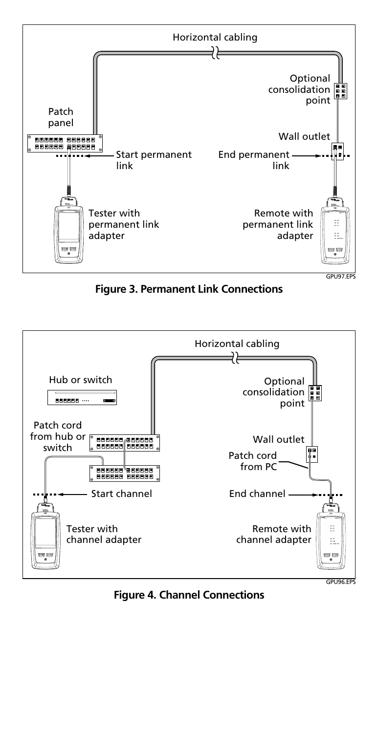

**Figure 3. Permanent Link Connections**

<span id="page-4-0"></span>

<span id="page-4-1"></span>**Figure 4. Channel Connections**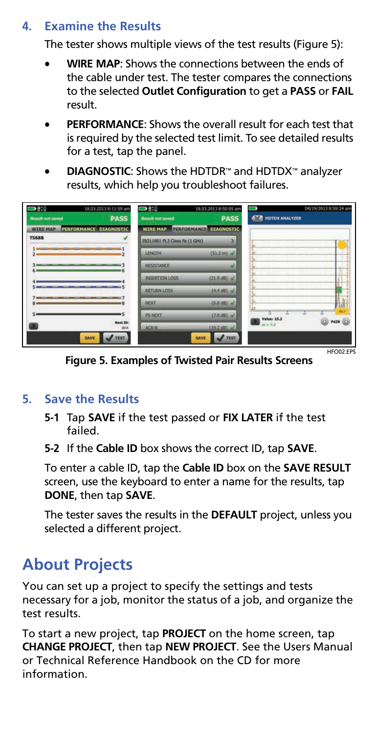#### **4. Examine the Results**

The tester shows multiple views of the test results (Figure [5\)](#page-5-0):

- **WIRE MAP**: Shows the connections between the ends of the cable under test. The tester compares the connections to the selected **Outlet Configuration** to get a **PASS** or **FAIL** result.
- **PERFORMANCE**: Shows the overall result for each test that is required by the selected test limit. To see detailed results for a test, tap the panel.
- **DIAGNOSTIC**: Shows the HDTDR™ and HDTDX™ analyzer results, which help you troubleshoot failures.

| 3810                    | 18.03.2013 8:11:59 am  | $\blacksquare$                | 18.03.2013 8:50:05 am           |                    | 04/19/2013 8:59:24 am |
|-------------------------|------------------------|-------------------------------|---------------------------------|--------------------|-----------------------|
| <b>Result not saved</b> | <b>PASS</b>            | <b>Result not saved</b>       | <b>PASS</b>                     | HDTDX ANALYZER     |                       |
| <b>WIRE MAP</b>         | PERFORMANCE DIAGNOSTIC | <b>WIRE MAP</b>               | PERFORMANCE DIAGNOSTIC          |                    |                       |
| <b>T568B</b>            |                        | ISO11801 PL3 Class Fa (1 GHz) |                                 |                    |                       |
|                         |                        | <b>LENGTH</b>                 | $(51.2 \text{ m})$ $\checkmark$ |                    |                       |
|                         |                        | RESISTANCE                    |                                 |                    |                       |
|                         |                        | <b>INSERTION LOSS</b>         | (21.9 d8)                       |                    |                       |
|                         |                        | <b>RETURN LOSS</b>            | $(4.4$ dB) $\sim$               |                    |                       |
|                         |                        | <b>NEXT</b>                   | $(6.8$ dB) $\checkmark$         |                    |                       |
|                         | ıs                     | <b>PS NEXT</b>                | $(7.8 d8)$ $\sim$               | <b>Value: 15.2</b> | ink <sup>1</sup>      |
|                         | Next ID:<br>DO-A       | <b>ACR-N</b>                  | $(19.2$ dB) $\sqrt{ }$          |                    | <b>PAIR</b>           |
|                         | SAVE<br>TEST           |                               | <b>TEST</b><br>SAVE             |                    |                       |
|                         |                        |                               |                                 |                    | HEOUS EDG             |

**Figure 5. Examples of Twisted Pair Results Screens**

#### <span id="page-5-0"></span>**5. Save the Results**

- **5-1** Tap **SAVE** if the test passed or **FIX LATER** if the test failed.
- **5-2** If the **Cable ID** box shows the correct ID, tap **SAVE**.

To enter a cable ID, tap the **Cable ID** box on the **SAVE RESULT**  screen, use the keyboard to enter a name for the results, tap **DONE**, then tap **SAVE**.

The tester saves the results in the **DEFAULT** project, unless you selected a different project.

### **About Projects**

You can set up a project to specify the settings and tests necessary for a job, monitor the status of a job, and organize the test results.

To start a new project, tap **PROJECT** on the home screen, tap **CHANGE PROJECT**, then tap **NEW PROJECT**. See the Users Manual or Technical Reference Handbook on the CD for more information.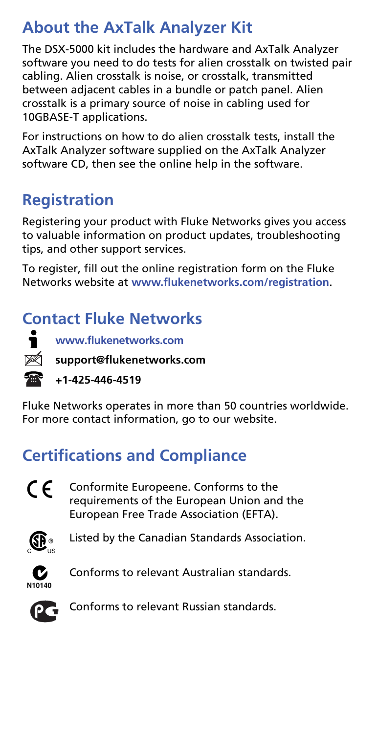## **About the AxTalk Analyzer Kit**

The DSX-5000 kit includes the hardware and AxTalk Analyzer software you need to do tests for alien crosstalk on twisted pair cabling. Alien crosstalk is noise, or crosstalk, transmitted between adjacent cables in a bundle or patch panel. Alien crosstalk is a primary source of noise in cabling used for 10GBASE-T applications.

For instructions on how to do alien crosstalk tests, install the AxTalk Analyzer software supplied on the AxTalk Analyzer software CD, then see the online help in the software.

## **Registration**

Registering your product with Fluke Networks gives you access to valuable information on product updates, troubleshooting tips, and other support services.

To register, fill out the online registration form on the Fluke Networks website at **[www.flukenetworks.com/registration](http://www.flukenetworks.com/registration)**.

## **Contact Fluke Networks**



**[www.flukenetworks.com](http://www.flukenetworks.com)**

**support@flukenetworks.com**

**+1-425-446-4519**

Fluke Networks operates in more than 50 countries worldwide. For more contact information, go to our website.

# **Certifications and Compliance**



 $\mathsf{\mathfrak{C}}\, \mathsf{\mathfrak{C}}$  Conformite Europeene. Conforms to the requirements of the European Union and the European Free Trade Association (EFTA).



**SP** Listed by the Canadian Standards Association.



**C** Conforms to relevant Australian standards.



Conforms to relevant Russian standards.